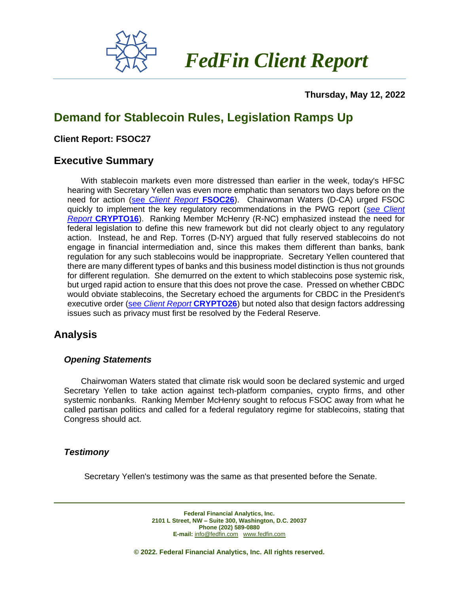

 *FedFin Client Report*

 **Thursday, May 12, 2022**

# **Demand for Stablecoin Rules, Legislation Ramps Up**

#### **Client Report: FSOC27**

### **Executive Summary**

With stablecoin markets even more distressed than earlier in the week, today's HFSC hearing with Secretary Yellen was even more emphatic than senators two days before on the need for action (see *[Client Report](https://fedfin.com/wp-content/uploads/2022/05/FSOC26.pdf)* **FSOC26**). Chairwoman Waters (D-CA) urged FSOC quickly to implement the key regulatory recommendations in the PWG report (*[see Client](https://fedfin.com/wp-content/uploads/2020/12/CRYPTO16.pdf)  Report* **[CRYPTO16](https://fedfin.com/wp-content/uploads/2020/12/CRYPTO16.pdf)**). Ranking Member McHenry (R-NC) emphasized instead the need for federal legislation to define this new framework but did not clearly object to any regulatory action. Instead, he and Rep. Torres (D-NY) argued that fully reserved stablecoins do not engage in financial intermediation and, since this makes them different than banks, bank regulation for any such stablecoins would be inappropriate. Secretary Yellen countered that there are many different types of banks and this business model distinction is thus not grounds for different regulation. She demurred on the extent to which stablecoins pose systemic risk, but urged rapid action to ensure that this does not prove the case. Pressed on whether CBDC would obviate stablecoins, the Secretary echoed the arguments for CBDC in the President's executive order (see *[Client Report](https://fedfin.com/wp-content/uploads/2022/03/CRYPTO26.pdf)* **CRYPTO26**) but noted also that design factors addressing issues such as privacy must first be resolved by the Federal Reserve.

## **Analysis**

#### *Opening Statements*

Chairwoman Waters stated that climate risk would soon be declared systemic and urged Secretary Yellen to take action against tech-platform companies, crypto firms, and other systemic nonbanks. Ranking Member McHenry sought to refocus FSOC away from what he called partisan politics and called for a federal regulatory regime for stablecoins, stating that Congress should act.

#### *Testimony*

Secretary Yellen's testimony was the same as that presented before the Senate.

**Federal Financial Analytics, Inc. 2101 L Street, NW – Suite 300, Washington, D.C. 20037 Phone (202) 589-0880 E-mail:** [info@fedfin.com](mailto:info@fedfin.com)[www.fedfin.com](http://www.fedfin.com/)

**© 2022. Federal Financial Analytics, Inc. All rights reserved.**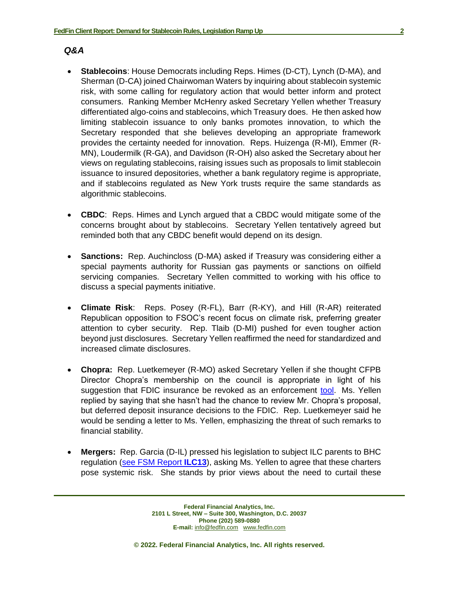#### *Q&A*

- **Stablecoins**: House Democrats including Reps. Himes (D-CT), Lynch (D-MA), and Sherman (D-CA) joined Chairwoman Waters by inquiring about stablecoin systemic risk, with some calling for regulatory action that would better inform and protect consumers. Ranking Member McHenry asked Secretary Yellen whether Treasury differentiated algo-coins and stablecoins, which Treasury does. He then asked how limiting stablecoin issuance to only banks promotes innovation, to which the Secretary responded that she believes developing an appropriate framework provides the certainty needed for innovation. Reps. Huizenga (R-MI), Emmer (R-MN), Loudermilk (R-GA), and Davidson (R-OH) also asked the Secretary about her views on regulating stablecoins, raising issues such as proposals to limit stablecoin issuance to insured depositories, whether a bank regulatory regime is appropriate, and if stablecoins regulated as New York trusts require the same standards as algorithmic stablecoins.
- **CBDC**: Reps. Himes and Lynch argued that a CBDC would mitigate some of the concerns brought about by stablecoins. Secretary Yellen tentatively agreed but reminded both that any CBDC benefit would depend on its design.
- **Sanctions:** Rep. Auchincloss (D-MA) asked if Treasury was considering either a special payments authority for Russian gas payments or sanctions on oilfield servicing companies. Secretary Yellen committed to working with his office to discuss a special payments initiative.
- **Climate Risk**: Reps. Posey (R-FL), Barr (R-KY), and Hill (R-AR) reiterated Republican opposition to FSOC's recent focus on climate risk, preferring greater attention to cyber security. Rep. Tlaib (D-MI) pushed for even tougher action beyond just disclosures. Secretary Yellen reaffirmed the need for standardized and increased climate disclosures.
- **Chopra:** Rep. Luetkemeyer (R-MO) asked Secretary Yellen if she thought CFPB Director Chopra's membership on the council is appropriate in light of his suggestion that FDIC insurance be revoked as an enforcement [tool.](https://fedfin.com/wp-content/uploads/2022/03/Daily032822.pdf) Ms. Yellen replied by saying that she hasn't had the chance to review Mr. Chopra's proposal, but deferred deposit insurance decisions to the FDIC. Rep. Luetkemeyer said he would be sending a letter to Ms. Yellen, emphasizing the threat of such remarks to financial stability.
- **Mergers:** Rep. Garcia (D-IL) pressed his legislation to subject ILC parents to BHC regulation [\(see FSM Report](https://fedfin.com/wp-content/uploads/2019/12/ilc13.pdf) **ILC13**), asking Ms. Yellen to agree that these charters pose systemic risk. She stands by prior views about the need to curtail these

**Federal Financial Analytics, Inc. 2101 L Street, NW – Suite 300, Washington, D.C. 20037 Phone (202) 589-0880 E-mail:** [info@fedfin.com](mailto:info@fedfin.com)[www.fedfin.com](http://www.fedfin.com/)